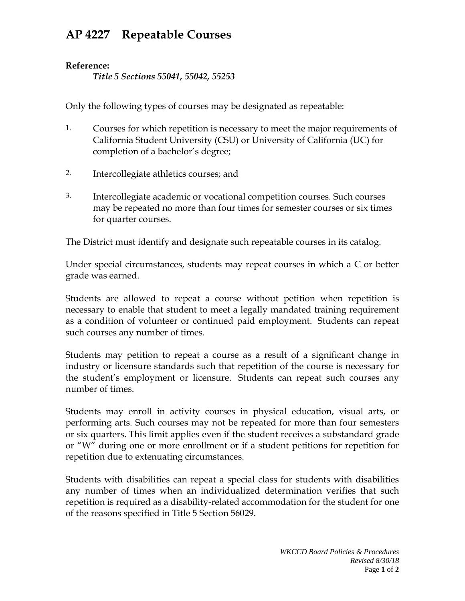## **AP 4227 Repeatable Courses**

## **Reference:**

*Title 5 Sections 55041, 55042, 55253*

Only the following types of courses may be designated as repeatable:

- 1. Courses for which repetition is necessary to meet the major requirements of California Student University (CSU) or University of California (UC) for completion of a bachelor's degree;
- 2. Intercollegiate athletics courses; and
- 3. Intercollegiate academic or vocational competition courses. Such courses may be repeated no more than four times for semester courses or six times for quarter courses.

The District must identify and designate such repeatable courses in its catalog.

Under special circumstances, students may repeat courses in which a C or better grade was earned.

Students are allowed to repeat a course without petition when repetition is necessary to enable that student to meet a legally mandated training requirement as a condition of volunteer or continued paid employment. Students can repeat such courses any number of times.

Students may petition to repeat a course as a result of a significant change in industry or licensure standards such that repetition of the course is necessary for the student's employment or licensure. Students can repeat such courses any number of times.

Students may enroll in activity courses in physical education, visual arts, or performing arts. Such courses may not be repeated for more than four semesters or six quarters. This limit applies even if the student receives a substandard grade or "W" during one or more enrollment or if a student petitions for repetition for repetition due to extenuating circumstances.

Students with disabilities can repeat a special class for students with disabilities any number of times when an individualized determination verifies that such repetition is required as a disability-related accommodation for the student for one of the reasons specified in Title 5 Section 56029.